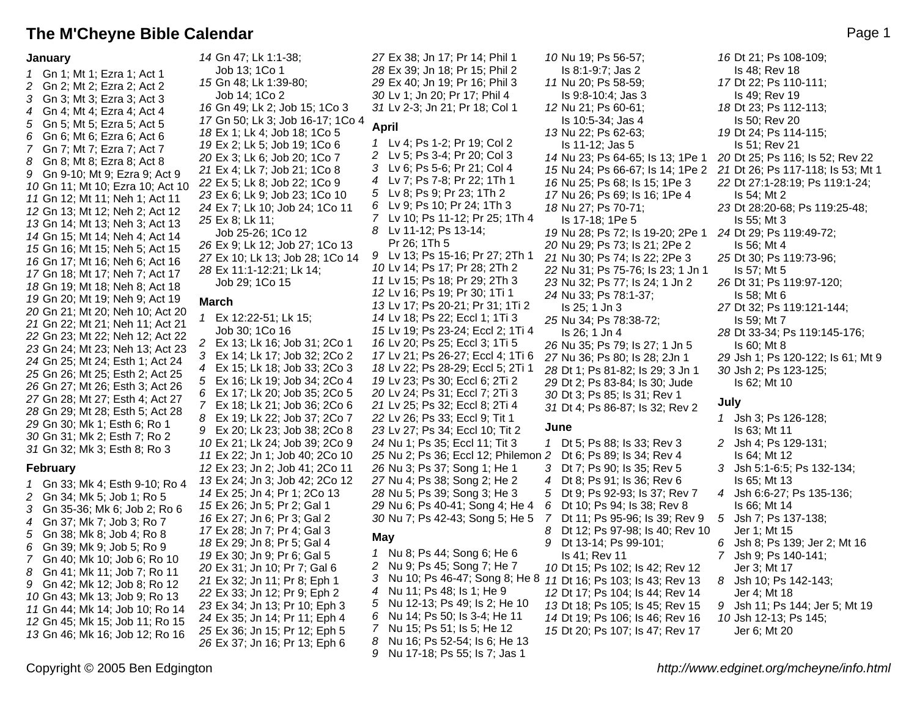# **The M'Cheyne Bible Calendar And The M'Cheyne Bible Calendar And The M'Cheyne Bible Calendar And The Page 1**

### **January**

 Gn 1; Mt 1; Ezra 1; Act 1 Gn 2; Mt 2; Ezra 2; Act 2 Gn 3; Mt 3; Ezra 3; Act 3 Gn 4; Mt 4; Ezra 4; Act 4 Gn 5; Mt 5; Ezra 5; Act 5 Gn 6; Mt 6; Ezra 6; Act 6 Gn 7; Mt 7; Ezra 7; Act 7 Gn 8; Mt 8; Ezra 8; Act 8 Gn 9-10; Mt 9; Ezra 9; Act 9 Gn 11; Mt 10; Ezra 10; Act 10 Gn 12; Mt 11; Neh 1; Act 11 Gn 13; Mt 12; Neh 2; Act 12 Gn 14; Mt 13; Neh 3; Act 13 Gn 15; Mt 14; Neh 4; Act 14 Gn 16; Mt 15; Neh 5; Act 15 Gn 17; Mt 16; Neh 6; Act 16 Gn 18; Mt 17; Neh 7; Act 17 Gn 19; Mt 18; Neh 8; Act 18 Gn 20; Mt 19; Neh 9; Act 19 Gn 21; Mt 20; Neh 10; Act 20 Gn 22; Mt 21; Neh 11; Act 21 Gn 23; Mt 22; Neh 12; Act 22 Gn 24; Mt 23; Neh 13; Act 23 Gn 25; Mt 24; Esth 1; Act 24 Gn 26; Mt 25; Esth 2; Act 25 Gn 27; Mt 26; Esth 3; Act 26 Gn 28; Mt 27; Esth 4; Act 27 Gn 29; Mt 28; Esth 5; Act 28 Gn 30; Mk 1; Esth 6; Ro 1 Gn 31; Mk 2; Esth 7; Ro 2 Gn 32; Mk 3; Esth 8; Ro 3

### **February**

 Gn 33; Mk 4; Esth 9-10; Ro 4 Gn 34; Mk 5; Job 1; Ro 5 Gn 35-36; Mk 6; Job 2; Ro 6 Gn 37; Mk 7; Job 3; Ro 7 Gn 38; Mk 8; Job 4; Ro 8 Gn 39; Mk 9; Job 5; Ro 9 Gn 40; Mk 10; Job 6; Ro 10 Gn 41; Mk 11; Job 7; Ro 11 Gn 42; Mk 12; Job 8; Ro 12 Gn 43; Mk 13; Job 9; Ro 13 Gn 44; Mk 14; Job 10; Ro 14 Gn 45; Mk 15; Job 11; Ro 15 Gn 46; Mk 16; Job 12; Ro 16

 Gn 47; Lk 1:1-38; Job 13; 1Co 1 Gn 48; Lk 1:39-80; Job 14; 1Co 2 Gn 49; Lk 2; Job 15; 1Co 3 Gn 50; Lk 3; Job 16-17; 1Co 4 Ex 1; Lk 4; Job 18; 1Co 5 Ex 2; Lk 5; Job 19; 1Co 6 Ex 3; Lk 6; Job 20; 1Co 7 Ex 4; Lk 7; Job 21; 1Co 8 Ex 5; Lk 8; Job 22; 1Co 9 Ex 6; Lk 9; Job 23; 1Co 10 Ex 7; Lk 10; Job 24; 1Co 11 Ex 8; Lk 11; Job 25-26; 1Co 12 Ex 9; Lk 12; Job 27; 1Co 13 Ex 10; Lk 13; Job 28; 1Co 14 Ex 11:1-12:21; Lk 14; Job 29; 1Co 15 **March**

 Ex 12:22-51; Lk 15; Job 30; 1Co 16 Ex 13; Lk 16; Job 31; 2Co 1 Ex 14; Lk 17; Job 32; 2Co 2 Ex 15; Lk 18; Job 33; 2Co 3 Ex 16; Lk 19; Job 34; 2Co 4 Ex 17; Lk 20; Job 35; 2Co 5 Ex 18; Lk 21; Job 36; 2Co 6 Ex 19; Lk 22; Job 37; 2Co 7 Ex 20; Lk 23; Job 38; 2Co 8 Ex 21; Lk 24; Job 39; 2Co 9 Ex 22; Jn 1; Job 40; 2Co 10 Ex 23; Jn 2; Job 41; 2Co 11 Ex 24; Jn 3; Job 42; 2Co 12 Ex 25; Jn 4; Pr 1; 2Co 13 Ex 26; Jn 5; Pr 2; Gal 1 Ex 27; Jn 6; Pr 3; Gal 2 Ex 28; Jn 7; Pr 4; Gal 3 Ex 29; Jn 8; Pr 5; Gal 4 Ex 30; Jn 9; Pr 6; Gal 5 Ex 31; Jn 10; Pr 7; Gal 6 Ex 32; Jn 11; Pr 8; Eph 1 Ex 33; Jn 12; Pr 9; Eph 2 Ex 34; Jn 13; Pr 10; Eph 3 Ex 35; Jn 14; Pr 11; Eph 4 Ex 36; Jn 15; Pr 12; Eph 5 Ex 37; Jn 16; Pr 13; Eph 6

 Ex 38; Jn 17; Pr 14; Phil 1 Ex 39; Jn 18; Pr 15; Phil 2 Ex 40; Jn 19; Pr 16; Phil 3 Lv 1; Jn 20; Pr 17; Phil 4 Lv 2-3; Jn 21; Pr 18; Col 1 **April** Lv 4; Ps 1-2; Pr 19; Col 2 Lv 5; Ps 3-4; Pr 20; Col 3 Lv 6; Ps 5-6; Pr 21; Col 4 Lv 7; Ps 7-8; Pr 22; 1Th 1 Lv 8; Ps 9; Pr 23; 1Th 2 Lv 9; Ps 10; Pr 24; 1Th 3 Lv 10; Ps 11-12; Pr 25; 1Th 4 Lv 11-12; Ps 13-14; Pr 26; 1Th 5 Lv 13; Ps 15-16; Pr 27; 2Th 1 Lv 14; Ps 17; Pr 28; 2Th 2 Lv 15; Ps 18; Pr 29; 2Th 3 Lv 16; Ps 19; Pr 30; 1Ti 1 Lv 17; Ps 20-21; Pr 31; 1Ti 2 Lv 18; Ps 22; Eccl 1; 1Ti 3 Lv 19; Ps 23-24; Eccl 2; 1Ti 4 Lv 20; Ps 25; Eccl 3; 1Ti 5 Lv 21; Ps 26-27; Eccl 4; 1Ti 6 Lv 22; Ps 28-29; Eccl 5; 2Ti 1 Lv 23; Ps 30; Eccl 6; 2Ti 2 Lv 24; Ps 31; Eccl 7; 2Ti 3 Lv 25; Ps 32; Eccl 8; 2Ti 4 Lv 26; Ps 33; Eccl 9; Tit 1 Lv 27; Ps 34; Eccl 10; Tit 2 Nu 1; Ps 35; Eccl 11; Tit 3 Nu 2; Ps 36; Eccl 12; Philemon 2 Dt 6; Ps 89; Is 34; Rev 4 Nu 3; Ps 37; Song 1; He 1 Nu 4; Ps 38; Song 2; He 2 Nu 5; Ps 39; Song 3; He 3 Nu 6; Ps 40-41; Song 4; He 4 Nu 7; Ps 42-43; Song 5; He 5 **May**

### Nu 8; Ps 44; Song 6; He 6 Nu 9; Ps 45; Song 7; He 7 3 Nu 10; Ps 46-47; Song 8; He 8 11 Dt 16; Ps 103; Is 43; Rev 13 Nu 11; Ps 48; Is 1; He 9 Nu 12-13; Ps 49; Is 2; He 10 Nu 14; Ps 50; Is 3-4; He 11 Nu 15; Ps 51; Is 5; He 12 Nu 16; Ps 52-54; Is 6; He 13 Nu 17-18; Ps 55; Is 7; Jas 1

 Nu 19; Ps 56-57; Is 8:1-9:7; Jas 2 Nu 20; Ps 58-59; Is 9:8-10:4; Jas 3 Nu 21; Ps 60-61; Is 10:5-34; Jas 4 Nu 22; Ps 62-63; Is 11-12; Jas 5 Nu 23; Ps 64-65; Is 13; 1Pe 1 Nu 25; Ps 68; Is 15; 1Pe 3 Nu 26; Ps 69; Is 16; 1Pe 4 Nu 27; Ps 70-71; Is 17-18; 1Pe 5 Nu 28; Ps 72; Is 19-20; 2Pe 1 24 Dt 29; Ps 119:49-72; Nu 29; Ps 73; Is 21; 2Pe 2 Nu 30; Ps 74; Is 22; 2Pe 3 Nu 31; Ps 75-76; Is 23; 1 Jn 1 Nu 32; Ps 77; Is 24; 1 Jn 2 Nu 33; Ps 78:1-37; Is 25; 1 Jn 3 Nu 34; Ps 78:38-72; Is 26; 1 Jn 4 Nu 35; Ps 79; Is 27; 1 Jn 5 Nu 36; Ps 80; Is 28; 2Jn 1 Dt 1; Ps 81-82; Is 29; 3 Jn 1 Dt 2; Ps 83-84; Is 30; Jude Dt 3; Ps 85; Is 31; Rev 1 Dt 4; Ps 86-87; Is 32; Rev 2 **June** Dt 5; Ps 88; Is 33; Rev 3 Dt 7; Ps 90; Is 35; Rev 5 Dt 8; Ps 91; Is 36; Rev 6 Dt 9; Ps 92-93; Is 37; Rev 7 Dt 10; Ps 94; Is 38; Rev 8

- Dt 11; Ps 95-96; Is 39; Rev 9
- Dt 12; Ps 97-98; Is 40; Rev 10 Dt 13-14; Ps 99-101; Is 41; Rev 11 Dt 15; Ps 102; Is 42; Rev 12
- Dt 17; Ps 104; Is 44; Rev 14 Dt 18; Ps 105; Is 45; Rev 15 Dt 19; Ps 106; Is 46; Rev 16 Dt 20; Ps 107; Is 47; Rev 17

 Nu 24; Ps 66-67; Is 14; 1Pe 2 21 Dt 26; Ps 117-118; Is 53; Mt 1 Dt 21; Ps 108-109; Is 48; Rev 18 Dt 22; Ps 110-111; Is 49; Rev 19 Dt 23; Ps 112-113; Is 50; Rev 20 Dt 24; Ps 114-115; Is 51; Rev 21 Dt 25; Ps 116; Is 52; Rev 22 Dt 27:1-28:19; Ps 119:1-24; Is 54; Mt 2 Dt 28:20-68; Ps 119:25-48; Is 55; Mt 3 Is 56; Mt 4 Dt 30; Ps 119:73-96; Is 57; Mt 5 Dt 31; Ps 119:97-120; Is 58; Mt 6 Dt 32; Ps 119:121-144; Is 59; Mt 7 Dt 33-34; Ps 119:145-176; Is 60; Mt 8 Jsh 1; Ps 120-122; Is 61; Mt 9 Jsh 2; Ps 123-125; Is 62; Mt 10

## **July**

|                       | 1 Jsh 3; Ps 126-128;           |
|-----------------------|--------------------------------|
|                       | Is 63: Mt 11                   |
|                       | 2 Jsh 4; Ps 129-131;           |
|                       | Is 64: Mt 12                   |
|                       | 3 Jsh 5:1-6:5; Ps 132-134;     |
|                       | Is 65: Mt 13                   |
|                       | 4 Jsh 6:6-27; Ps 135-136;      |
|                       | Is 66; Mt 14                   |
|                       | 5 Jsh 7; Ps 137-138;           |
|                       | Jer 1: Mt 15                   |
|                       | 6 Jsh 8; Ps 139; Jer 2; Mt 16  |
|                       | 7 Jsh 9; Ps 140-141;           |
|                       | Jer 3; Mt 17                   |
|                       | 8 Jsh 10; Ps 142-143;          |
|                       | Jer 4: Mt 18                   |
|                       | 9 Jsh 11; Ps 144; Jer 5; Mt 19 |
| 10 Jsh 12-13; Ps 145; |                                |
|                       | Jer 6; Mt 20                   |